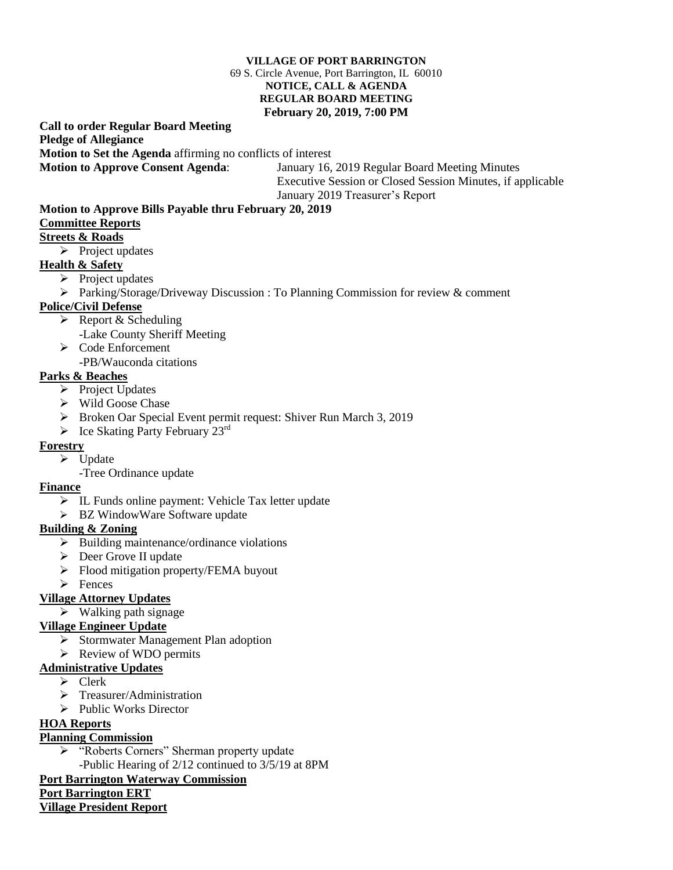#### **VILLAGE OF PORT BARRINGTON** 69 S. Circle Avenue, Port Barrington, IL 60010 **NOTICE, CALL & AGENDA REGULAR BOARD MEETING February 20, 2019, 7:00 PM**

#### **Call to order Regular Board Meeting Pledge of Allegiance Motion to Set the Agenda** affirming no conflicts of interest **Motion to Approve Consent Agenda**: January 16, 2019 Regular Board Meeting Minutes

 Executive Session or Closed Session Minutes, if applicable January 2019 Treasurer's Report

### **Motion to Approve Bills Payable thru February 20, 2019**

## **Committee Reports**

### **Streets & Roads**

 $\triangleright$  Project updates

### **Health & Safety**

- $\triangleright$  Project updates
- Parking/Storage/Driveway Discussion : To Planning Commission for review & comment

### **Police/Civil Defense**

- $\triangleright$  Report & Scheduling
	- -Lake County Sheriff Meeting
- $\triangleright$  Code Enforcement
- -PB/Wauconda citations

# **Parks & Beaches**

- $\triangleright$  Project Updates
- Wild Goose Chase
- **Broken Oar Special Event permit request: Shiver Run March 3, 2019**
- $\triangleright$  Ice Skating Party February 23<sup>rd</sup>

### **Forestry**

- $\triangleright$  Update
	- -Tree Ordinance update

### **Finance**

- IL Funds online payment: Vehicle Tax letter update
- > BZ WindowWare Software update

## **Building & Zoning**

- $\triangleright$  Building maintenance/ordinance violations
- Deer Grove II update
- Flood mitigation property/FEMA buyout
- $\triangleright$  Fences

## **Village Attorney Updates**

### $\triangleright$  Walking path signage

## **Village Engineer Update**

- $\triangleright$  Stormwater Management Plan adoption
- $\triangleright$  Review of WDO permits

### **Administrative Updates**

- $\triangleright$  Clerk
- $\triangleright$  Treasurer/Administration
- $\triangleright$  Public Works Director

## **HOA Reports**

## **Planning Commission**

 "Roberts Corners" Sherman property update -Public Hearing of 2/12 continued to 3/5/19 at 8PM

## **Port Barrington Waterway Commission**

## **Port Barrington ERT**

**Village President Report**